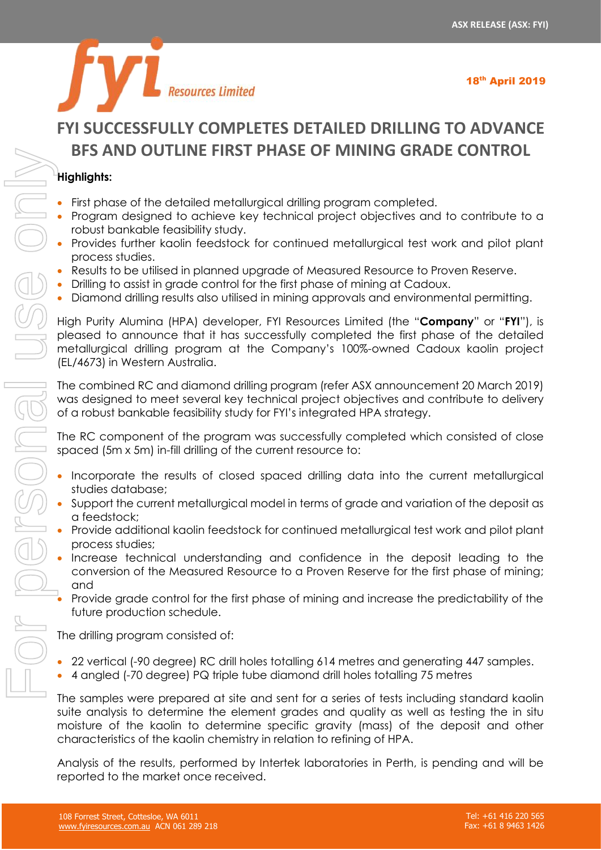

# **FYI SUCCESSFULLY COMPLETES DETAILED DRILLING TO ADVANCE BFS AND OUTLINE FIRST PHASE OF MINING GRADE CONTROL**

## **Highlights:**

- First phase of the detailed metallurgical drilling program completed.
- Program designed to achieve key technical project objectives and to contribute to a robust bankable feasibility study.
- Provides further kaolin feedstock for continued metallurgical test work and pilot plant process studies.
- Results to be utilised in planned upgrade of Measured Resource to Proven Reserve.
- Drilling to assist in grade control for the first phase of mining at Cadoux.
- Diamond drilling results also utilised in mining approvals and environmental permitting.

High Purity Alumina (HPA) developer, FYI Resources Limited (the "**Company**" or "**FYI**"), is pleased to announce that it has successfully completed the first phase of the detailed metallurgical drilling program at the Company's 100%-owned Cadoux kaolin project (EL/4673) in Western Australia.

The combined RC and diamond drilling program (refer ASX announcement 20 March 2019) was designed to meet several key technical project objectives and contribute to delivery of a robust bankable feasibility study for FYI's integrated HPA strategy.

The RC component of the program was successfully completed which consisted of close spaced (5m x 5m) in-fill drilling of the current resource to:

- Incorporate the results of closed spaced drilling data into the current metallurgical studies database;
- Support the current metallurgical model in terms of grade and variation of the deposit as a feedstock;
- Provide additional kaolin feedstock for continued metallurgical test work and pilot plant process studies;
- Increase technical understanding and confidence in the deposit leading to the conversion of the Measured Resource to a Proven Reserve for the first phase of mining; and
- Provide grade control for the first phase of mining and increase the predictability of the future production schedule.

The drilling program consisted of:

- 22 vertical (-90 degree) RC drill holes totalling 614 metres and generating 447 samples.
- 4 angled (-70 degree) PQ triple tube diamond drill holes totalling 75 metres

The samples were prepared at site and sent for a series of tests including standard kaolin suite analysis to determine the element grades and quality as well as testing the in situ moisture of the kaolin to determine specific gravity (mass) of the deposit and other characteristics of the kaolin chemistry in relation to refining of HPA.

Analysis of the results, performed by Intertek laboratories in Perth, is pending and will be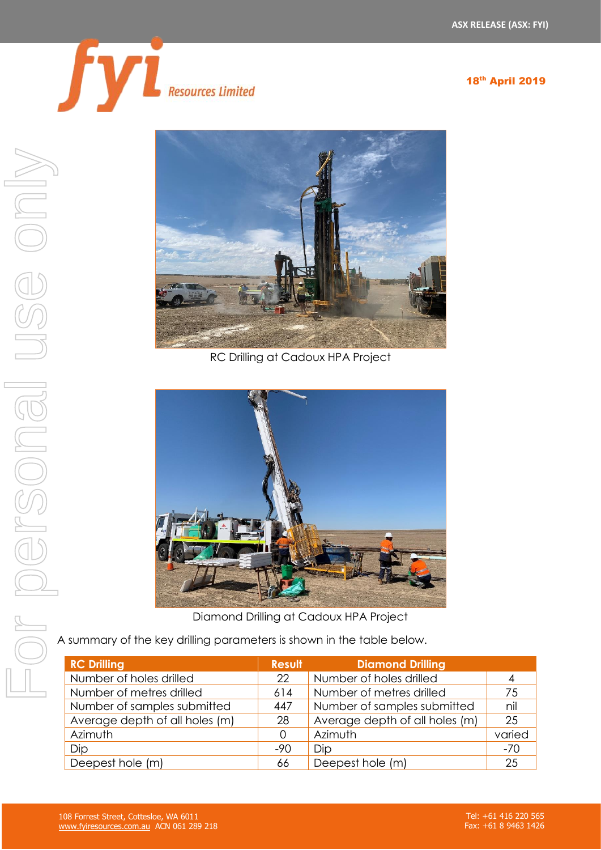

18th April 2019



RC Drilling at Cadoux HPA Project



Diamond Drilling at Cadoux HPA Project

A summary of the key drilling parameters is shown in the table below.

| <b>RC Drilling</b>             | <b>Result</b> | <b>Diamond Drilling</b>        |        |
|--------------------------------|---------------|--------------------------------|--------|
| Number of holes drilled        | 22            | Number of holes drilled        | 4      |
| Number of metres drilled       | 614           | Number of metres drilled       | 75     |
| Number of samples submitted    | 447           | Number of samples submitted    | nil    |
| Average depth of all holes (m) | 28            | Average depth of all holes (m) | 25     |
| Azimuth                        | O             | Azimuth                        | varied |
| Dip                            | $-90$         | Dip                            | $-70$  |
| Deepest hole (m)               | 66            | Deepest hole (m)               | 25     |